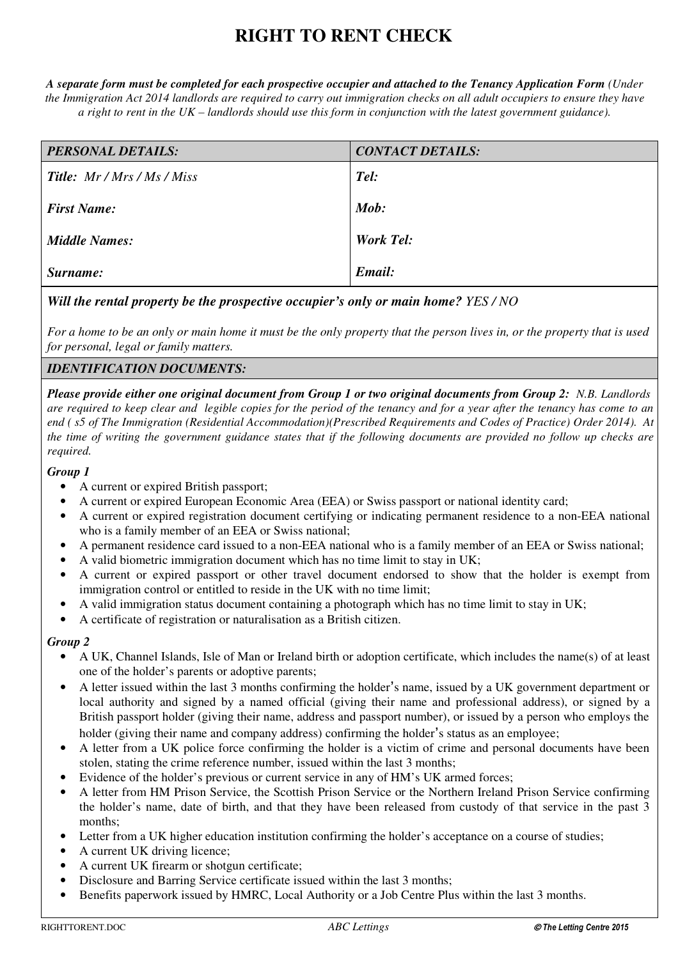# **RIGHT TO RENT CHECK**

*A separate form must be completed for each prospective occupier and attached to the Tenancy Application Form (Under the Immigration Act 2014 landlords are required to carry out immigration checks on all adult occupiers to ensure they have a right to rent in the UK – landlords should use this form in conjunction with the latest government guidance).*

| <b>PERSONAL DETAILS:</b>           | <b>CONTACT DETAILS:</b> |
|------------------------------------|-------------------------|
| <b>Title:</b> Mr / Mrs / Ms / Miss | Tel:                    |
| <b>First Name:</b>                 | Mob:                    |
| <b>Middle Names:</b>               | <b>Work Tel:</b>        |
| Surname:                           | Email:                  |

# *Will the rental property be the prospective occupier's only or main home? YES / NO*

*For a home to be an only or main home it must be the only property that the person lives in, or the property that is used for personal, legal or family matters.* 

## *IDENTIFICATION DOCUMENTS:*

*Please provide either one original document from Group 1 or two original documents from Group 2: N.B. Landlords are required to keep clear and legible copies for the period of the tenancy and for a year after the tenancy has come to an end ( s5 of The Immigration (Residential Accommodation)(Prescribed Requirements and Codes of Practice) Order 2014). At the time of writing the government guidance states that if the following documents are provided no follow up checks are required.*

### *Group 1*

- A current or expired British passport;
- A current or expired European Economic Area (EEA) or Swiss passport or national identity card;
- A current or expired registration document certifying or indicating permanent residence to a non-EEA national who is a family member of an EEA or Swiss national;
- A permanent residence card issued to a non-EEA national who is a family member of an EEA or Swiss national;
- A valid biometric immigration document which has no time limit to stay in UK;
- A current or expired passport or other travel document endorsed to show that the holder is exempt from immigration control or entitled to reside in the UK with no time limit;
- A valid immigration status document containing a photograph which has no time limit to stay in UK;
- A certificate of registration or naturalisation as a British citizen.

#### *Group 2*

- A UK, Channel Islands, Isle of Man or Ireland birth or adoption certificate, which includes the name(s) of at least one of the holder's parents or adoptive parents;
- A letter issued within the last 3 months confirming the holder's name, issued by a UK government department or local authority and signed by a named official (giving their name and professional address), or signed by a British passport holder (giving their name, address and passport number), or issued by a person who employs the holder (giving their name and company address) confirming the holder's status as an employee;
- A letter from a UK police force confirming the holder is a victim of crime and personal documents have been stolen, stating the crime reference number, issued within the last 3 months;
- Evidence of the holder's previous or current service in any of HM's UK armed forces;
- A letter from HM Prison Service, the Scottish Prison Service or the Northern Ireland Prison Service confirming the holder's name, date of birth, and that they have been released from custody of that service in the past 3 months:
- Letter from a UK higher education institution confirming the holder's acceptance on a course of studies;
- A current UK driving licence:
- A current UK firearm or shotgun certificate;
- Disclosure and Barring Service certificate issued within the last 3 months;
- Benefits paperwork issued by HMRC, Local Authority or a Job Centre Plus within the last 3 months.